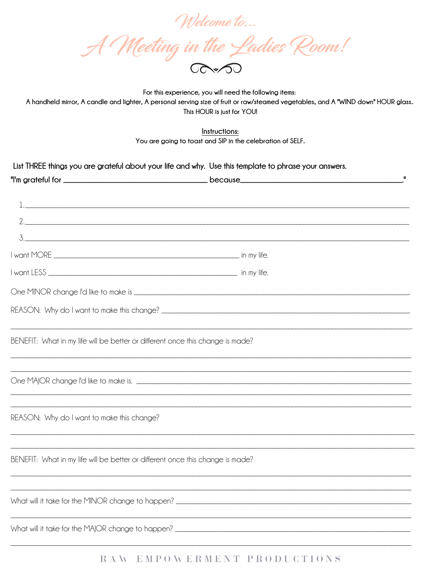Welcome to...<br>A Meeting in the Ladies Room!

For this experience, you will need the following items: A handheld mirror, A candle and lighter, A personal serving size of fruit or raw/steamed vegetables, and A "WIND down" HOUR glass. This HOUR is just for YOU!

Instructions: You are going to toast and SIP in the celebration of SELF.

| List THREE things you are grateful about your life and why. Use this template to phrase your answers. |  |
|-------------------------------------------------------------------------------------------------------|--|
|                                                                                                       |  |
|                                                                                                       |  |
|                                                                                                       |  |
|                                                                                                       |  |
|                                                                                                       |  |
|                                                                                                       |  |
|                                                                                                       |  |
|                                                                                                       |  |
|                                                                                                       |  |
|                                                                                                       |  |
| BENEFIT: What in my life will be better or different once this change is made?                        |  |
|                                                                                                       |  |
|                                                                                                       |  |
|                                                                                                       |  |
|                                                                                                       |  |
| REASON: Why do I want to make this change?                                                            |  |
|                                                                                                       |  |
|                                                                                                       |  |
| BENEFIT: What in my life will be better or different once this change is made?                        |  |
|                                                                                                       |  |
|                                                                                                       |  |
|                                                                                                       |  |
| What will it take for the MAJOR change to happen?                                                     |  |

## RAW EMPOWERMENT PRODUCTIONS